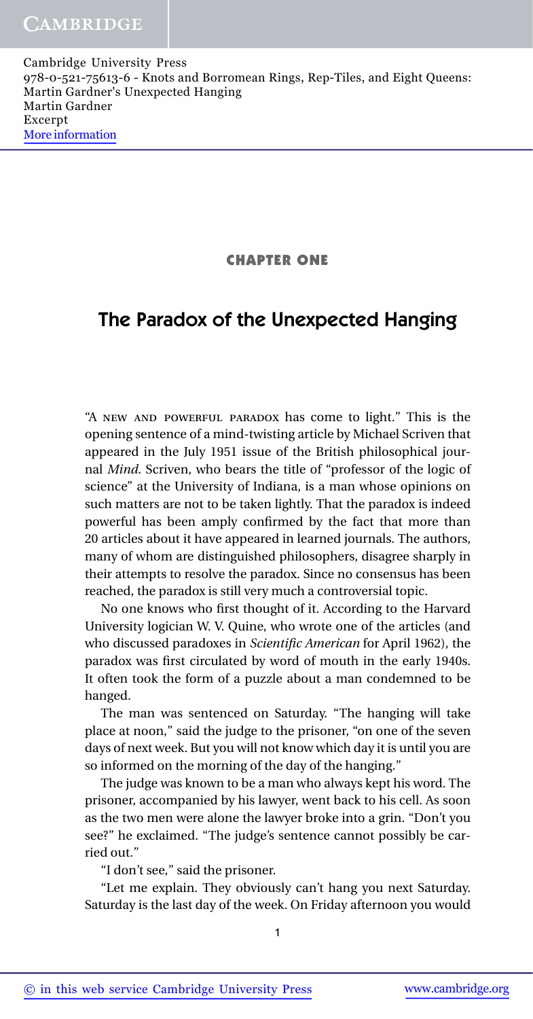## CHAPTER ONE

# The Paradox of the Unexpected Hanging

"A new and powerful paradox has come to light." This is the opening sentence of a mind-twisting article by Michael Scriven that appeared in the July 1951 issue of the British philosophical journal *Mind.* Scriven, who bears the title of "professor of the logic of science" at the University of Indiana, is a man whose opinions on such matters are not to be taken lightly. That the paradox is indeed powerful has been amply confirmed by the fact that more than 20 articles about it have appeared in learned journals. The authors, many of whom are distinguished philosophers, disagree sharply in their attempts to resolve the paradox. Since no consensus has been reached, the paradox is still very much a controversial topic.

No one knows who first thought of it. According to the Harvard University logician W. V. Quine, who wrote one of the articles (and who discussed paradoxes in *Scientific American* for April 1962), the paradox was first circulated by word of mouth in the early 1940s. It often took the form of a puzzle about a man condemned to be hanged.

The man was sentenced on Saturday. "The hanging will take place at noon," said the judge to the prisoner, "on one of the seven days of next week. But you will not know which day it is until you are so informed on the morning of the day of the hanging."

The judge was known to be a man who always kept his word. The prisoner, accompanied by his lawyer, went back to his cell. As soon as the two men were alone the lawyer broke into a grin. "Don't you see?" he exclaimed. "The judge's sentence cannot possibly be carried out."

"I don't see," said the prisoner.

"Let me explain. They obviously can't hang you next Saturday. Saturday is the last day of the week. On Friday afternoon you would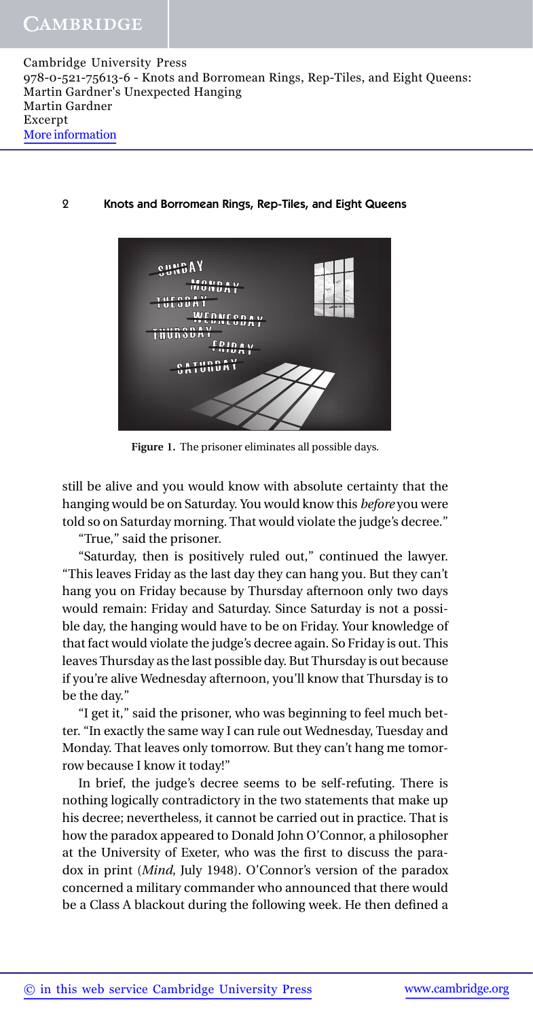

**Figure 1.** The prisoner eliminates all possible days.

still be alive and you would know with absolute certainty that the hanging would be on Saturday. You would know this *before* you were told so on Saturday morning. That would violate the judge's decree."

"True," said the prisoner.

"Saturday, then is positively ruled out," continued the lawyer. "This leaves Friday as the last day they can hang you. But they can't hang you on Friday because by Thursday afternoon only two days would remain: Friday and Saturday. Since Saturday is not a possible day, the hanging would have to be on Friday. Your knowledge of that fact would violate the judge's decree again. So Friday is out. This leaves Thursday as the last possible day. But Thursday is out because if you're alive Wednesday afternoon, you'll know that Thursday is to be the day."

"I get it," said the prisoner, who was beginning to feel much better. "In exactly the same way I can rule out Wednesday, Tuesday and Monday. That leaves only tomorrow. But they can't hang me tomorrow because I know it today!"

In brief, the judge's decree seems to be self-refuting. There is nothing logically contradictory in the two statements that make up his decree; nevertheless, it cannot be carried out in practice. That is how the paradox appeared to Donald John O'Connor, a philosopher at the University of Exeter, who was the first to discuss the paradox in print (*Mind*, July 1948). O'Connor's version of the paradox concerned a military commander who announced that there would be a Class A blackout during the following week. He then defined a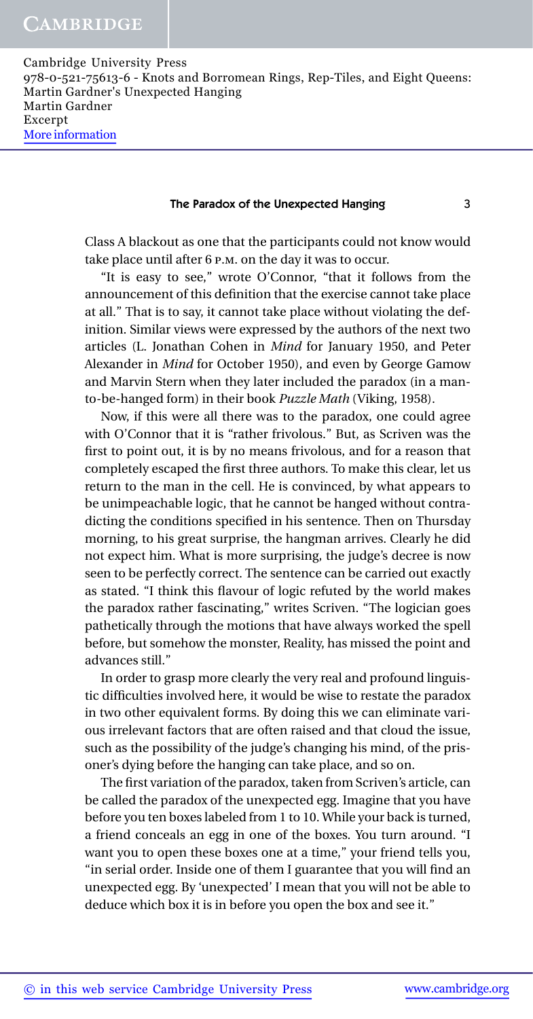Class A blackout as one that the participants could not know would take place until after 6 p.m. on the day it was to occur.

"It is easy to see," wrote O'Connor, "that it follows from the announcement of this definition that the exercise cannot take place at all." That is to say, it cannot take place without violating the definition. Similar views were expressed by the authors of the next two articles (L. Jonathan Cohen in *Mind* for January 1950, and Peter Alexander in *Mind* for October 1950), and even by George Gamow and Marvin Stern when they later included the paradox (in a manto-be-hanged form) in their book *Puzzle Math* (Viking, 1958).

Now, if this were all there was to the paradox, one could agree with O'Connor that it is "rather frivolous." But, as Scriven was the first to point out, it is by no means frivolous, and for a reason that completely escaped the first three authors. To make this clear, let us return to the man in the cell. He is convinced, by what appears to be unimpeachable logic, that he cannot be hanged without contradicting the conditions specified in his sentence. Then on Thursday morning, to his great surprise, the hangman arrives. Clearly he did not expect him. What is more surprising, the judge's decree is now seen to be perfectly correct. The sentence can be carried out exactly as stated. "I think this flavour of logic refuted by the world makes the paradox rather fascinating," writes Scriven. "The logician goes pathetically through the motions that have always worked the spell before, but somehow the monster, Reality, has missed the point and advances still."

In order to grasp more clearly the very real and profound linguistic difficulties involved here, it would be wise to restate the paradox in two other equivalent forms. By doing this we can eliminate various irrelevant factors that are often raised and that cloud the issue, such as the possibility of the judge's changing his mind, of the prisoner's dying before the hanging can take place, and so on.

The first variation of the paradox, taken from Scriven's article, can be called the paradox of the unexpected egg. Imagine that you have before you ten boxes labeled from 1 to 10. While your back is turned, a friend conceals an egg in one of the boxes. You turn around. "I want you to open these boxes one at a time," your friend tells you, "in serial order. Inside one of them I guarantee that you will find an unexpected egg. By 'unexpected' I mean that you will not be able to deduce which box it is in before you open the box and see it."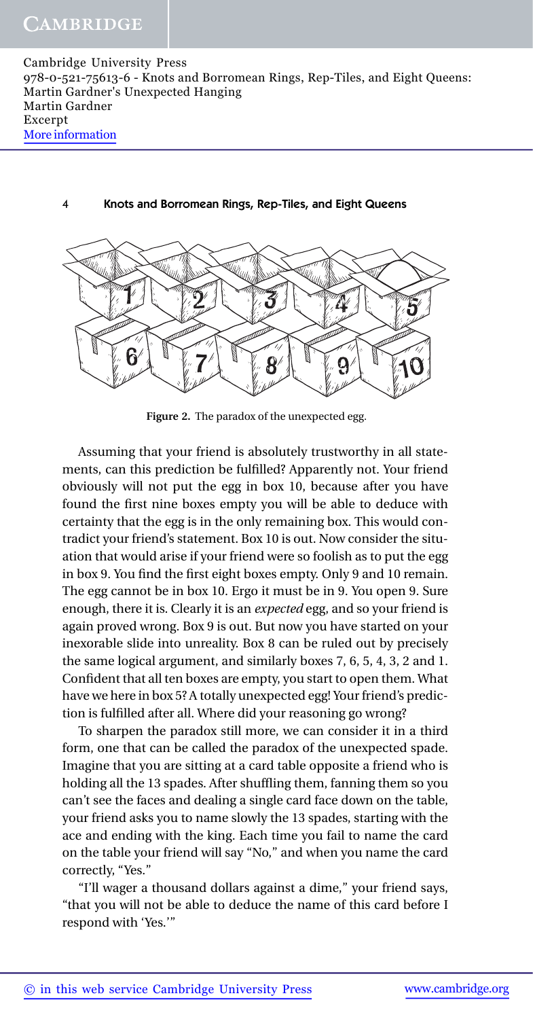

**Figure 2.** The paradox of the unexpected egg.

Assuming that your friend is absolutely trustworthy in all statements, can this prediction be fulfilled? Apparently not. Your friend obviously will not put the egg in box 10, because after you have found the first nine boxes empty you will be able to deduce with certainty that the egg is in the only remaining box. This would contradict your friend's statement. Box 10 is out. Now consider the situation that would arise if your friend were so foolish as to put the egg in box 9. You find the first eight boxes empty. Only 9 and 10 remain. The egg cannot be in box 10. Ergo it must be in 9. You open 9. Sure enough, there it is. Clearly it is an *expected* egg, and so your friend is again proved wrong. Box 9 is out. But now you have started on your inexorable slide into unreality. Box 8 can be ruled out by precisely the same logical argument, and similarly boxes 7, 6, 5, 4, 3, 2 and 1. Confident that all ten boxes are empty, you start to open them. What have we here in box 5? A totally unexpected egg! Your friend's prediction is fulfilled after all. Where did your reasoning go wrong?

To sharpen the paradox still more, we can consider it in a third form, one that can be called the paradox of the unexpected spade. Imagine that you are sitting at a card table opposite a friend who is holding all the 13 spades. After shuffling them, fanning them so you can't see the faces and dealing a single card face down on the table, your friend asks you to name slowly the 13 spades, starting with the ace and ending with the king. Each time you fail to name the card on the table your friend will say "No," and when you name the card correctly, "Yes."

"I'll wager a thousand dollars against a dime," your friend says, "that you will not be able to deduce the name of this card before I respond with 'Yes.'"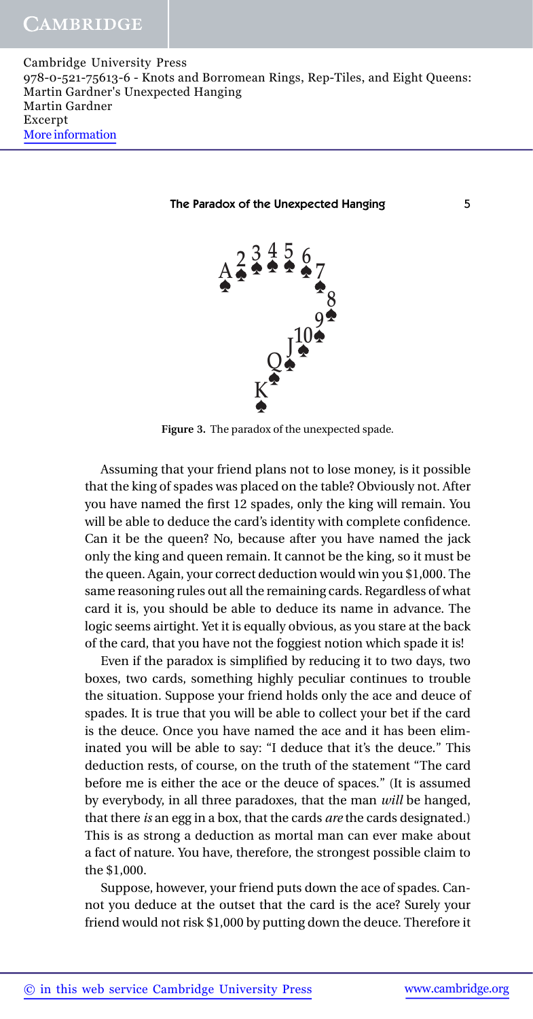

**Figure 3.** The paradox of the unexpected spade.

Assuming that your friend plans not to lose money, is it possible that the king of spades was placed on the table? Obviously not. After you have named the first 12 spades, only the king will remain. You will be able to deduce the card's identity with complete confidence. Can it be the queen? No, because after you have named the jack only the king and queen remain. It cannot be the king, so it must be the queen. Again, your correct deduction would win you \$1,000. The same reasoning rules out all the remaining cards. Regardless of what card it is, you should be able to deduce its name in advance. The logic seems airtight. Yet it is equally obvious, as you stare at the back of the card, that you have not the foggiest notion which spade it is!

Even if the paradox is simplified by reducing it to two days, two boxes, two cards, something highly peculiar continues to trouble the situation. Suppose your friend holds only the ace and deuce of spades. It is true that you will be able to collect your bet if the card is the deuce. Once you have named the ace and it has been eliminated you will be able to say: "I deduce that it's the deuce." This deduction rests, of course, on the truth of the statement "The card before me is either the ace or the deuce of spaces." (It is assumed by everybody, in all three paradoxes, that the man *will* be hanged, that there *is* an egg in a box, that the cards *are* the cards designated.) This is as strong a deduction as mortal man can ever make about a fact of nature. You have, therefore, the strongest possible claim to the \$1,000.

Suppose, however, your friend puts down the ace of spades. Cannot you deduce at the outset that the card is the ace? Surely your friend would not risk \$1,000 by putting down the deuce. Therefore it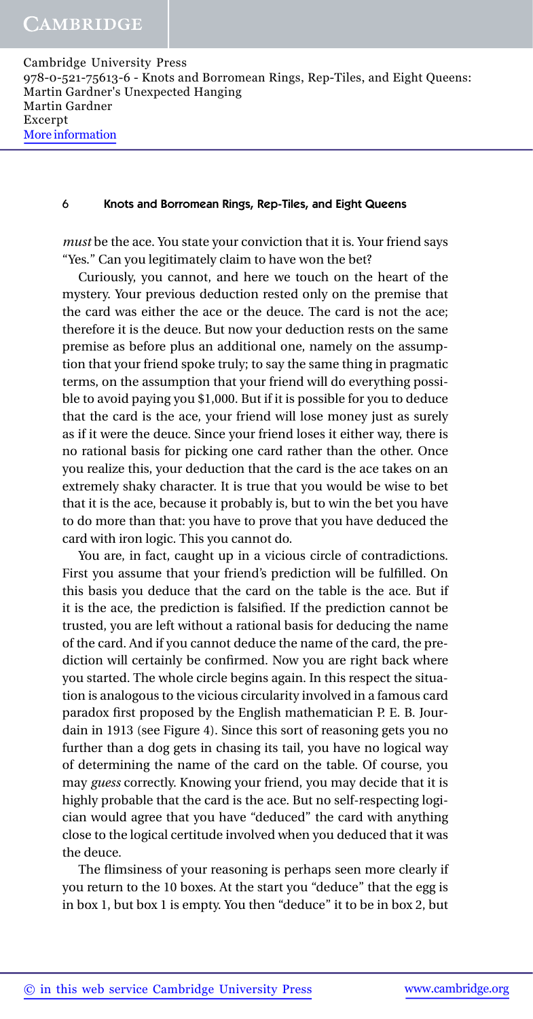*must* be the ace. You state your conviction that it is. Your friend says "Yes." Can you legitimately claim to have won the bet?

Curiously, you cannot, and here we touch on the heart of the mystery. Your previous deduction rested only on the premise that the card was either the ace or the deuce. The card is not the ace; therefore it is the deuce. But now your deduction rests on the same premise as before plus an additional one, namely on the assumption that your friend spoke truly; to say the same thing in pragmatic terms, on the assumption that your friend will do everything possible to avoid paying you \$1,000. But if it is possible for you to deduce that the card is the ace, your friend will lose money just as surely as if it were the deuce. Since your friend loses it either way, there is no rational basis for picking one card rather than the other. Once you realize this, your deduction that the card is the ace takes on an extremely shaky character. It is true that you would be wise to bet that it is the ace, because it probably is, but to win the bet you have to do more than that: you have to prove that you have deduced the card with iron logic. This you cannot do.

You are, in fact, caught up in a vicious circle of contradictions. First you assume that your friend's prediction will be fulfilled. On this basis you deduce that the card on the table is the ace. But if it is the ace, the prediction is falsified. If the prediction cannot be trusted, you are left without a rational basis for deducing the name of the card. And if you cannot deduce the name of the card, the prediction will certainly be confirmed. Now you are right back where you started. The whole circle begins again. In this respect the situation is analogous to the vicious circularity involved in a famous card paradox first proposed by the English mathematician P. E. B. Jourdain in 1913 (see Figure 4). Since this sort of reasoning gets you no further than a dog gets in chasing its tail, you have no logical way of determining the name of the card on the table. Of course, you may *guess* correctly. Knowing your friend, you may decide that it is highly probable that the card is the ace. But no self-respecting logician would agree that you have "deduced" the card with anything close to the logical certitude involved when you deduced that it was the deuce.

The flimsiness of your reasoning is perhaps seen more clearly if you return to the 10 boxes. At the start you "deduce" that the egg is in box 1, but box 1 is empty. You then "deduce" it to be in box 2, but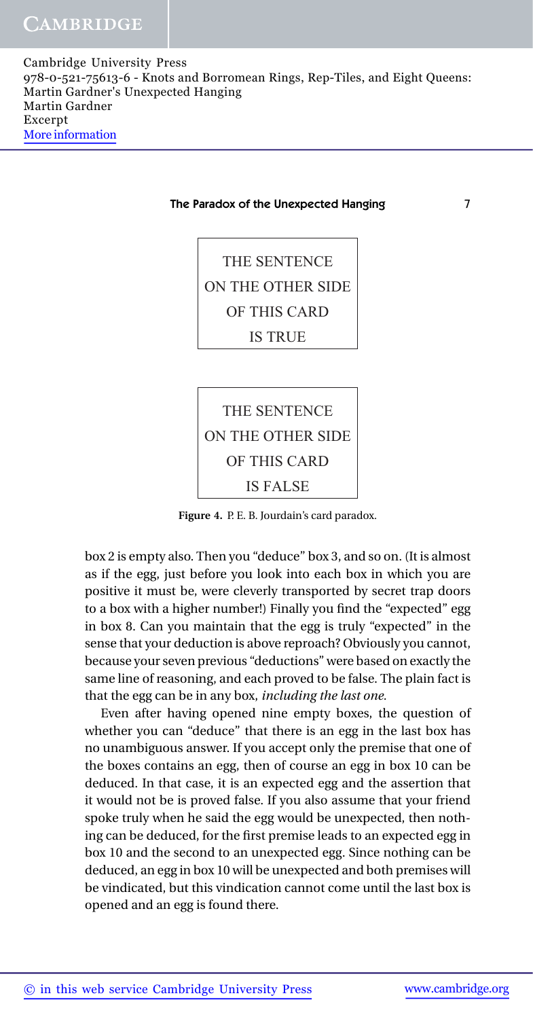THE SENTENCE ON THE OTHER SIDE OF THIS CARD IS TRUE

THE SENTENCE ON THE OTHER SIDE OF THIS CARD IS FALSE

**Figure 4.** P. E. B. Jourdain's card paradox.

box 2 is empty also. Then you "deduce" box 3, and so on. (It is almost as if the egg, just before you look into each box in which you are positive it must be, were cleverly transported by secret trap doors to a box with a higher number!) Finally you find the "expected" egg in box 8. Can you maintain that the egg is truly "expected" in the sense that your deduction is above reproach? Obviously you cannot, because your seven previous "deductions" were based on exactly the same line of reasoning, and each proved to be false. The plain fact is that the egg can be in any box, *including the last one.*

Even after having opened nine empty boxes, the question of whether you can "deduce" that there is an egg in the last box has no unambiguous answer. If you accept only the premise that one of the boxes contains an egg, then of course an egg in box 10 can be deduced. In that case, it is an expected egg and the assertion that it would not be is proved false. If you also assume that your friend spoke truly when he said the egg would be unexpected, then nothing can be deduced, for the first premise leads to an expected egg in box 10 and the second to an unexpected egg. Since nothing can be deduced, an egg in box 10 will be unexpected and both premises will be vindicated, but this vindication cannot come until the last box is opened and an egg is found there.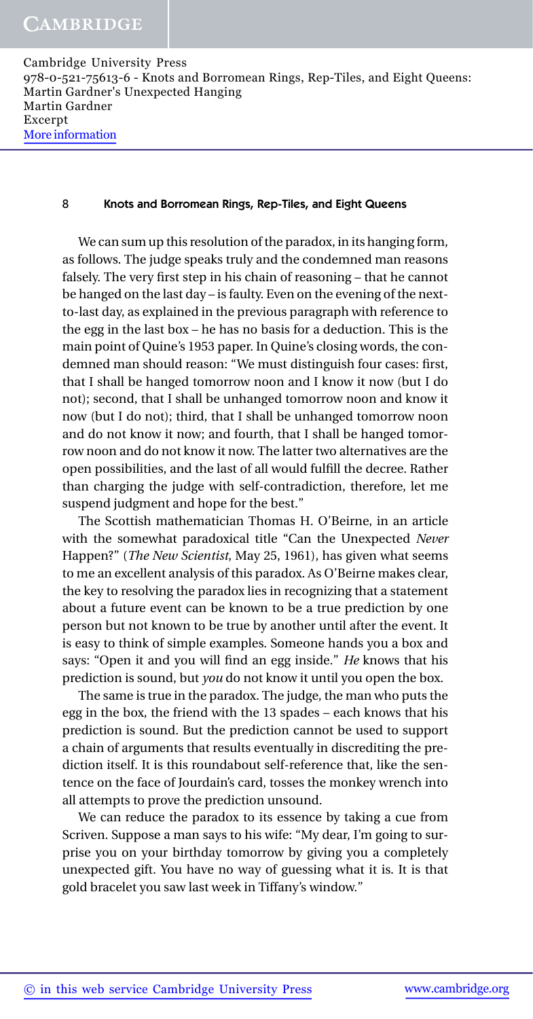# 8 Knots and Borromean Rings, Rep-Tiles, and Eight Queens

We can sum up this resolution of the paradox, in its hanging form, as follows. The judge speaks truly and the condemned man reasons falsely. The very first step in his chain of reasoning – that he cannot be hanged on the last day – is faulty. Even on the evening of the nextto-last day, as explained in the previous paragraph with reference to the egg in the last box – he has no basis for a deduction. This is the main point of Quine's 1953 paper. In Quine's closing words, the condemned man should reason: "We must distinguish four cases: first, that I shall be hanged tomorrow noon and I know it now (but I do not); second, that I shall be unhanged tomorrow noon and know it now (but I do not); third, that I shall be unhanged tomorrow noon and do not know it now; and fourth, that I shall be hanged tomorrow noon and do not know it now. The latter two alternatives are the open possibilities, and the last of all would fulfill the decree. Rather than charging the judge with self-contradiction, therefore, let me suspend judgment and hope for the best."

The Scottish mathematician Thomas H. O'Beirne, in an article with the somewhat paradoxical title "Can the Unexpected *Never* Happen?" (*The New Scientist*, May 25, 1961), has given what seems to me an excellent analysis of this paradox. As O'Beirne makes clear, the key to resolving the paradox lies in recognizing that a statement about a future event can be known to be a true prediction by one person but not known to be true by another until after the event. It is easy to think of simple examples. Someone hands you a box and says: "Open it and you will find an egg inside." *He* knows that his prediction is sound, but *you* do not know it until you open the box.

The same is true in the paradox. The judge, the man who puts the egg in the box, the friend with the 13 spades – each knows that his prediction is sound. But the prediction cannot be used to support a chain of arguments that results eventually in discrediting the prediction itself. It is this roundabout self-reference that, like the sentence on the face of Jourdain's card, tosses the monkey wrench into all attempts to prove the prediction unsound.

We can reduce the paradox to its essence by taking a cue from Scriven. Suppose a man says to his wife: "My dear, I'm going to surprise you on your birthday tomorrow by giving you a completely unexpected gift. You have no way of guessing what it is. It is that gold bracelet you saw last week in Tiffany's window."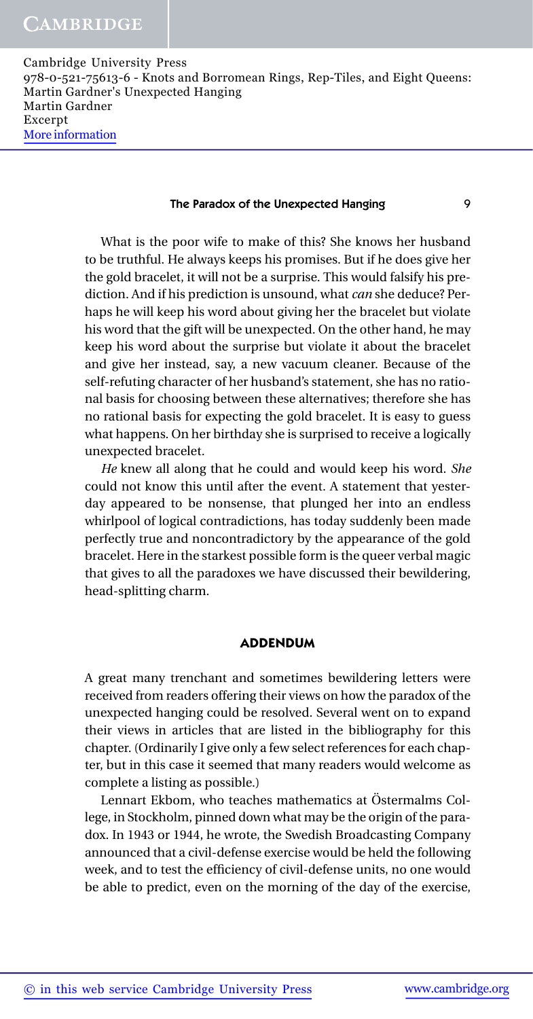What is the poor wife to make of this? She knows her husband to be truthful. He always keeps his promises. But if he does give her the gold bracelet, it will not be a surprise. This would falsify his prediction. And if his prediction is unsound, what *can* she deduce? Perhaps he will keep his word about giving her the bracelet but violate his word that the gift will be unexpected. On the other hand, he may keep his word about the surprise but violate it about the bracelet and give her instead, say, a new vacuum cleaner. Because of the self-refuting character of her husband's statement, she has no rational basis for choosing between these alternatives; therefore she has no rational basis for expecting the gold bracelet. It is easy to guess what happens. On her birthday she is surprised to receive a logically unexpected bracelet.

*He* knew all along that he could and would keep his word. *She* could not know this until after the event. A statement that yesterday appeared to be nonsense, that plunged her into an endless whirlpool of logical contradictions, has today suddenly been made perfectly true and noncontradictory by the appearance of the gold bracelet. Here in the starkest possible form is the queer verbal magic that gives to all the paradoxes we have discussed their bewildering, head-splitting charm.

#### **ADDENDUM**

A great many trenchant and sometimes bewildering letters were received from readers offering their views on how the paradox of the unexpected hanging could be resolved. Several went on to expand their views in articles that are listed in the bibliography for this chapter. (Ordinarily I give only a few select references for each chapter, but in this case it seemed that many readers would welcome as complete a listing as possible.)

Lennart Ekbom, who teaches mathematics at Östermalms College, in Stockholm, pinned down what may be the origin of the paradox. In 1943 or 1944, he wrote, the Swedish Broadcasting Company announced that a civil-defense exercise would be held the following week, and to test the efficiency of civil-defense units, no one would be able to predict, even on the morning of the day of the exercise,